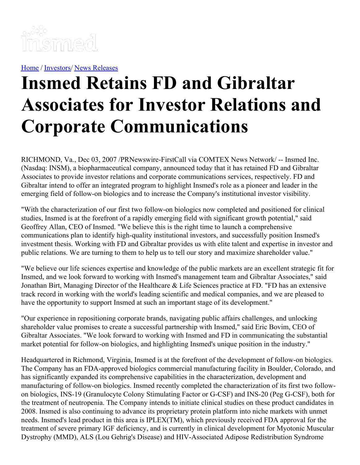

[Home](https://insmed.com/) / [Investors](https://investor.insmed.com/index)/ News [Releases](https://investor.insmed.com/releases)

# **Insmed Retains FD and Gibraltar Associates for Investor Relations and Corporate Communications**

RICHMOND, Va., Dec 03, 2007 /PRNewswire-FirstCall via COMTEX News Network/ -- Insmed Inc. (Nasdaq: INSM), a biopharmaceutical company, announced today that it has retained FD and Gibraltar Associates to provide investor relations and corporate communications services, respectively. FD and Gibraltar intend to offer an integrated program to highlight Insmed's role as a pioneer and leader in the emerging field of follow-on biologics and to increase the Company's institutional investor visibility.

"With the characterization of our first two follow-on biologics now completed and positioned for clinical studies, Insmed is at the forefront of a rapidly emerging field with significant growth potential," said Geoffrey Allan, CEO of Insmed. "We believe this is the right time to launch a comprehensive communications plan to identify high-quality institutional investors, and successfully position Insmed's investment thesis. Working with FD and Gibraltar provides us with elite talent and expertise in investor and public relations. We are turning to them to help us to tell our story and maximize shareholder value."

"We believe our life sciences expertise and knowledge of the public markets are an excellent strategic fit for Insmed, and we look forward to working with Insmed's management team and Gibraltar Associates," said Jonathan Birt, Managing Director of the Healthcare & Life Sciences practice at FD. "FD has an extensive track record in working with the world's leading scientific and medical companies, and we are pleased to have the opportunity to support Insmed at such an important stage of its development."

"Our experience in repositioning corporate brands, navigating public affairs challenges, and unlocking shareholder value promises to create a successful partnership with Insmed," said Eric Bovim, CEO of Gibraltar Associates. "We look forward to working with Insmed and FD in communicating the substantial market potential for follow-on biologics, and highlighting Insmed's unique position in the industry."

Headquartered in Richmond, Virginia, Insmed is at the forefront of the development of follow-on biologics. The Company has an FDA-approved biologics commercial manufacturing facility in Boulder, Colorado, and has significantly expanded its comprehensive capabilities in the characterization, development and manufacturing of follow-on biologics. Insmed recently completed the characterization of its first two followon biologics, INS-19 (Granulocyte Colony Stimulating Factor or G-CSF) and INS-20 (Peg G-CSF), both for the treatment of neutropenia. The Company intends to initiate clinical studies on these product candidates in 2008. Insmed is also continuing to advance its proprietary protein platform into niche markets with unmet needs. Insmed's lead product in this area is IPLEX(TM), which previously received FDA approval for the treatment of severe primary IGF deficiency, and is currently in clinical development for Myotonic Muscular Dystrophy (MMD), ALS (Lou Gehrig's Disease) and HIV-Associated Adipose Redistribution Syndrome